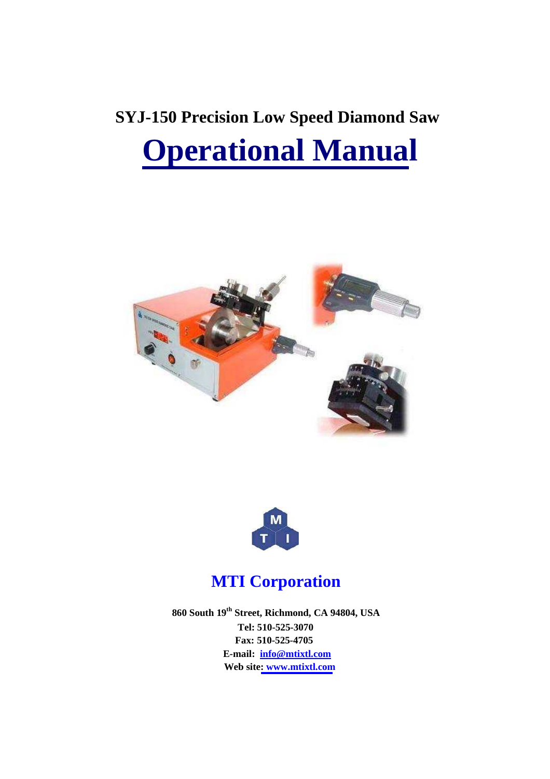# **SYJ-150 Precision Low Speed Diamond Saw Operational Manual**





## **MTI Corporation**

 **860 South 19th Street, Richmond, CA 94804, USA Tel: 510-525-3070 Fax: 510-525-4705 E-mail: info@mtixtl.com Web site: www.mtixtl.com**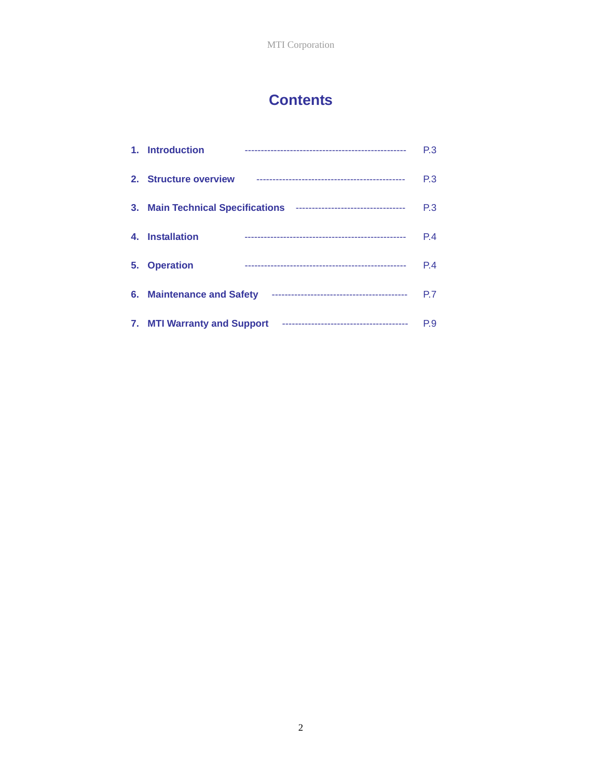### **Contents**

|    | 1. Introduction                  |                                        | P.3            |
|----|----------------------------------|----------------------------------------|----------------|
|    | 2. Structure overview            |                                        | P <sub>3</sub> |
|    | 3. Main Technical Specifications | ----------------------------------     | P <sub>3</sub> |
| 4. | <b>Installation</b>              |                                        | P.4            |
| 5. | <b>Operation</b>                 |                                        | P.4            |
|    | 6. Maintenance and Safety        |                                        | P.7            |
|    | 7. MTI Warranty and Support      | -------------------------------------- | P.9            |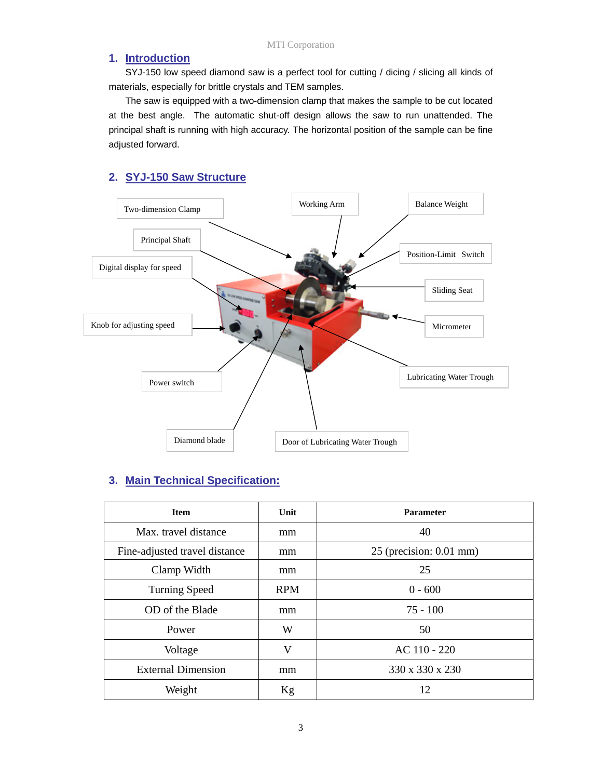#### **1. Introduction**

SYJ-150 low speed diamond saw is a perfect tool for cutting / dicing / slicing all kinds of materials, especially for brittle crystals and TEM samples.

The saw is equipped with a two-dimension clamp that makes the sample to be cut located at the best angle. The automatic shut-off design allows the saw to run unattended. The principal shaft is running with high accuracy. The horizontal position of the sample can be fine adjusted forward.

#### **2. SYJ-150 Saw Structure**



#### **3. Main Technical Specification:**

| <b>Item</b>                   | Unit       | <b>Parameter</b>          |
|-------------------------------|------------|---------------------------|
| Max. travel distance          | mm         | 40                        |
| Fine-adjusted travel distance | mm         | $25$ (precision: 0.01 mm) |
| Clamp Width                   | mm         | 25                        |
| <b>Turning Speed</b>          | <b>RPM</b> | $0 - 600$                 |
| OD of the Blade               | mm         | $75 - 100$                |
| Power                         | W          | 50                        |
| Voltage                       | V          | AC 110 - 220              |
| <b>External Dimension</b>     | mm         | 330 x 330 x 230           |
| Weight                        | Kg         | 12                        |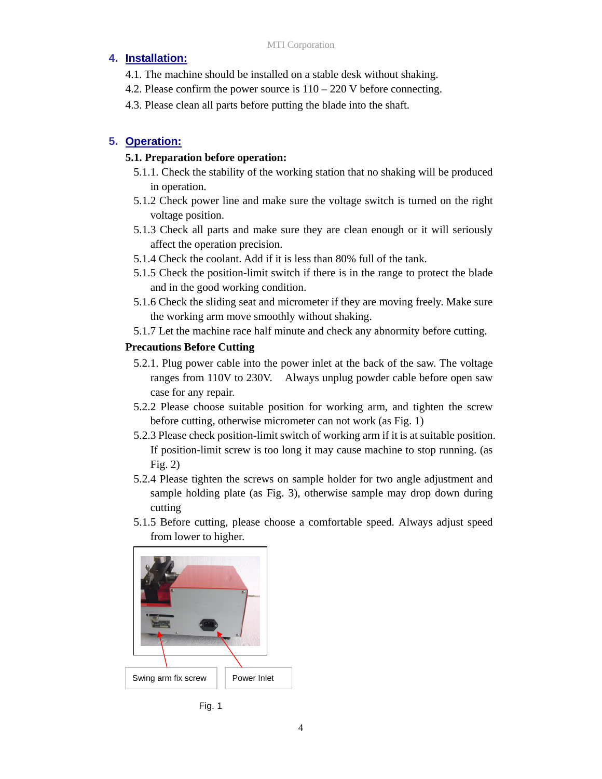#### **4. Installation:**

- 4.1. The machine should be installed on a stable desk without shaking.
- 4.2. Please confirm the power source is 110 220 V before connecting.
- 4.3. Please clean all parts before putting the blade into the shaft.

#### **5. Operation:**

#### **5.1. Preparation before operation:**

- 5.1.1. Check the stability of the working station that no shaking will be produced in operation.
- 5.1.2 Check power line and make sure the voltage switch is turned on the right voltage position.
- 5.1.3 Check all parts and make sure they are clean enough or it will seriously affect the operation precision.
- 5.1.4 Check the coolant. Add if it is less than 80% full of the tank.
- 5.1.5 Check the position-limit switch if there is in the range to protect the blade and in the good working condition.
- 5.1.6 Check the sliding seat and micrometer if they are moving freely. Make sure the working arm move smoothly without shaking.
- 5.1.7 Let the machine race half minute and check any abnormity before cutting.

#### **Precautions Before Cutting**

- 5.2.1. Plug power cable into the power inlet at the back of the saw. The voltage ranges from 110V to 230V. Always unplug powder cable before open saw case for any repair.
- 5.2.2 Please choose suitable position for working arm, and tighten the screw before cutting, otherwise micrometer can not work (as Fig. 1)
- 5.2.3 Please check position-limit switch of working arm if it is at suitable position. If position-limit screw is too long it may cause machine to stop running. (as Fig. 2)
- 5.2.4 Please tighten the screws on sample holder for two angle adjustment and sample holding plate (as Fig. 3), otherwise sample may drop down during cutting
- 5.1.5 Before cutting, please choose a comfortable speed. Always adjust speed from lower to higher.



Fig. 1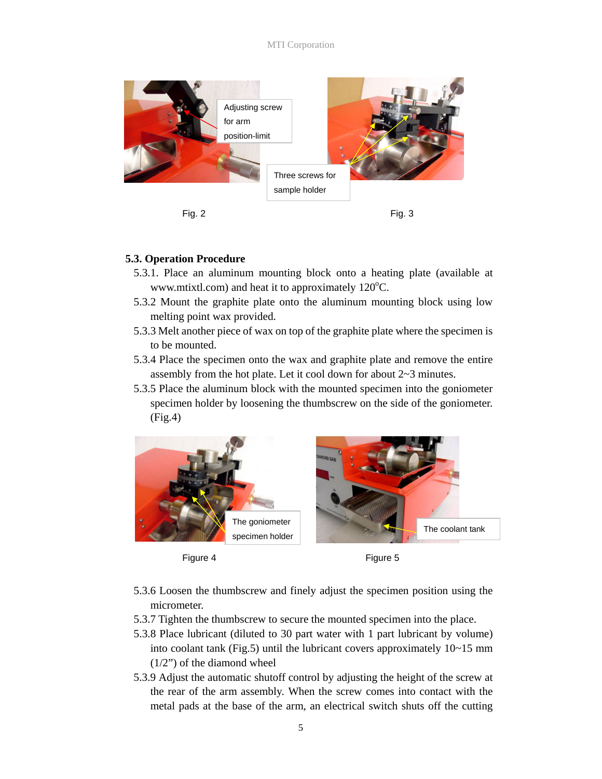

#### **5.3. Operation Procedure**

- 5.3.1. Place an aluminum mounting block onto a heating plate (available at www.mtixtl.com) and heat it to approximately  $120^{\circ}$ C.
- 5.3.2 Mount the graphite plate onto the aluminum mounting block using low melting point wax provided.
- 5.3.3 Melt another piece of wax on top of the graphite plate where the specimen is to be mounted.
- 5.3.4 Place the specimen onto the wax and graphite plate and remove the entire assembly from the hot plate. Let it cool down for about 2~3 minutes.
- 5.3.5 Place the aluminum block with the mounted specimen into the goniometer specimen holder by loosening the thumbscrew on the side of the goniometer. (Fig.4)







- 5.3.6 Loosen the thumbscrew and finely adjust the specimen position using the micrometer.
- 5.3.7 Tighten the thumbscrew to secure the mounted specimen into the place.
- 5.3.8 Place lubricant (diluted to 30 part water with 1 part lubricant by volume) into coolant tank (Fig.5) until the lubricant covers approximately 10~15 mm  $(1/2)$  of the diamond wheel
- 5.3.9 Adjust the automatic shutoff control by adjusting the height of the screw at the rear of the arm assembly. When the screw comes into contact with the metal pads at the base of the arm, an electrical switch shuts off the cutting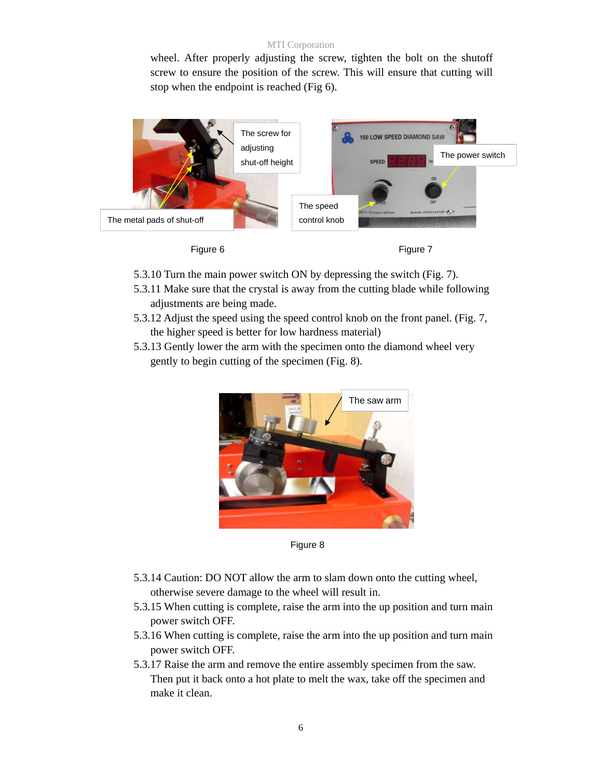#### MTI Corporation

wheel. After properly adjusting the screw, tighten the bolt on the shutoff screw to ensure the position of the screw. This will ensure that cutting will stop when the endpoint is reached (Fig 6).



- 5.3.10 Turn the main power switch ON by depressing the switch (Fig. 7).
- 5.3.11 Make sure that the crystal is away from the cutting blade while following adjustments are being made.
- 5.3.12 Adjust the speed using the speed control knob on the front panel. (Fig. 7, the higher speed is better for low hardness material)
- 5.3.13 Gently lower the arm with the specimen onto the diamond wheel very gently to begin cutting of the specimen (Fig. 8).



Figure 8

- 5.3.14 Caution: DO NOT allow the arm to slam down onto the cutting wheel, otherwise severe damage to the wheel will result in.
- 5.3.15 When cutting is complete, raise the arm into the up position and turn main power switch OFF.
- 5.3.16 When cutting is complete, raise the arm into the up position and turn main power switch OFF.
- 5.3.17 Raise the arm and remove the entire assembly specimen from the saw. Then put it back onto a hot plate to melt the wax, take off the specimen and make it clean.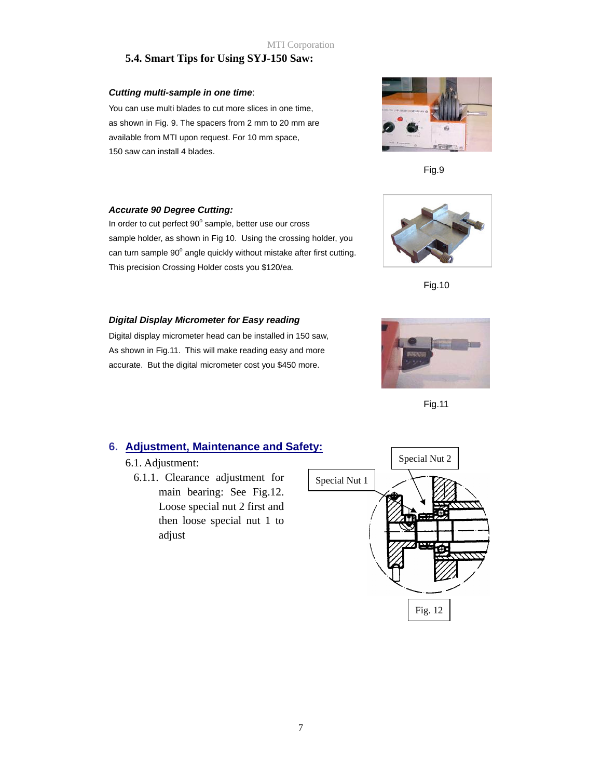#### **5.4. Smart Tips for Using SYJ-150 Saw:**

#### *Cutting multi-sample in one time*:

You can use multi blades to cut more slices in one time, as shown in Fig. 9. The spacers from 2 mm to 20 mm are available from MTI upon request. For 10 mm space, 150 saw can install 4 blades.



Fig.9

#### *Accurate 90 Degree Cutting:*

In order to cut perfect 90° sample, better use our cross sample holder, as shown in Fig 10. Using the crossing holder, you can turn sample 90° angle quickly without mistake after first cutting. This precision Crossing Holder costs you \$120/ea.



Fig.10

#### *Digital Display Micrometer for Easy reading*

Digital display micrometer head can be installed in 150 saw, As shown in Fig.11. This will make reading easy and more accurate. But the digital micrometer cost you \$450 more.



Fig.11

#### **6. Adjustment, Maintenance and Safety:**

#### 6.1. Adjustment:

6.1.1. Clearance adjustment for main bearing: See Fig.12. Loose special nut 2 first and then loose special nut 1 to adjust

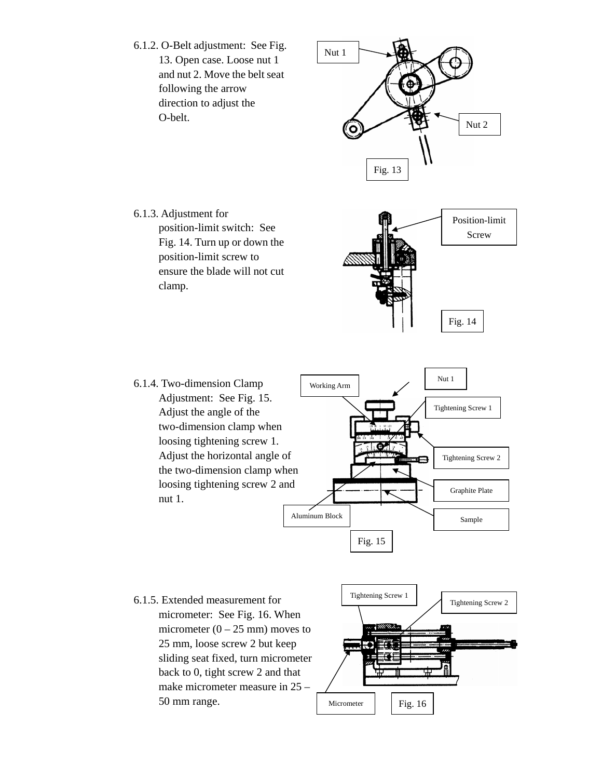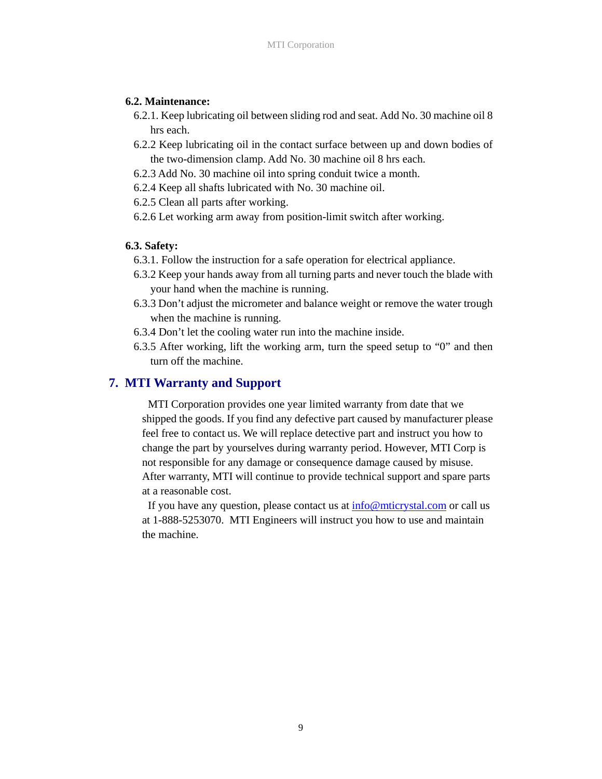#### **6.2. Maintenance:**

- 6.2.1. Keep lubricating oil between sliding rod and seat. Add No. 30 machine oil 8 hrs each.
- 6.2.2 Keep lubricating oil in the contact surface between up and down bodies of the two-dimension clamp. Add No. 30 machine oil 8 hrs each.
- 6.2.3 Add No. 30 machine oil into spring conduit twice a month.
- 6.2.4 Keep all shafts lubricated with No. 30 machine oil.
- 6.2.5 Clean all parts after working.
- 6.2.6 Let working arm away from position-limit switch after working.

#### **6.3. Safety:**

- 6.3.1. Follow the instruction for a safe operation for electrical appliance.
- 6.3.2 Keep your hands away from all turning parts and never touch the blade with your hand when the machine is running.
- 6.3.3 Don't adjust the micrometer and balance weight or remove the water trough when the machine is running.
- 6.3.4 Don't let the cooling water run into the machine inside.
- 6.3.5 After working, lift the working arm, turn the speed setup to "0" and then turn off the machine.

#### **7. MTI Warranty and Support**

MTI Corporation provides one year limited warranty from date that we shipped the goods. If you find any defective part caused by manufacturer please feel free to contact us. We will replace detective part and instruct you how to change the part by yourselves during warranty period. However, MTI Corp is not responsible for any damage or consequence damage caused by misuse. After warranty, MTI will continue to provide technical support and spare parts at a reasonable cost.

If you have any question, please contact us at info@mticrystal.com or call us at 1-888-5253070. MTI Engineers will instruct you how to use and maintain the machine.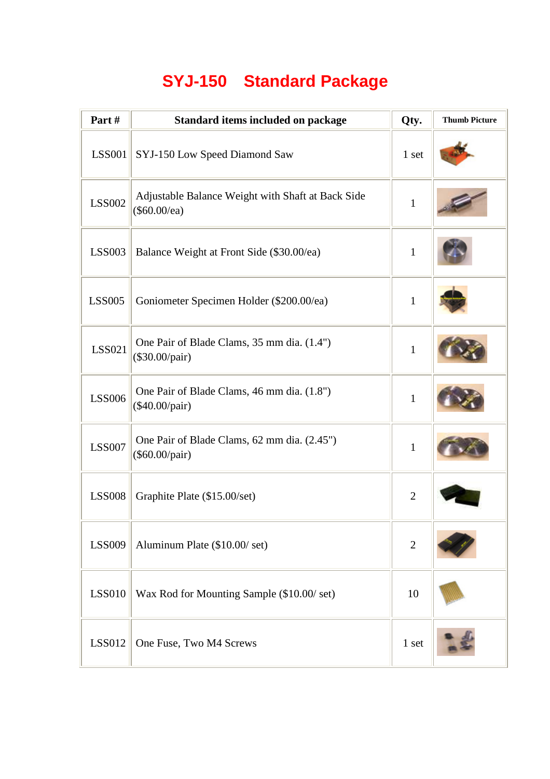## **SYJ-150 Standard Package**

| Part#         | Standard items included on package                                | Qty.           | <b>Thumb Picture</b> |
|---------------|-------------------------------------------------------------------|----------------|----------------------|
| <b>LSS001</b> | SYJ-150 Low Speed Diamond Saw                                     | 1 set          |                      |
| <b>LSS002</b> | Adjustable Balance Weight with Shaft at Back Side<br>(\$60.00/ea) | $\mathbf{1}$   |                      |
| <b>LSS003</b> | Balance Weight at Front Side (\$30.00/ea)                         | $\mathbf{1}$   |                      |
| <b>LSS005</b> | Goniometer Specimen Holder (\$200.00/ea)                          | $\mathbf{1}$   |                      |
| LSS021        | One Pair of Blade Clams, 35 mm dia. (1.4")<br>(\$30.00/pair)      | $\mathbf{1}$   |                      |
| LSS006        | One Pair of Blade Clams, 46 mm dia. (1.8")<br>(\$40.00/pair)      | $\mathbf{1}$   |                      |
| <b>LSS007</b> | One Pair of Blade Clams, 62 mm dia. (2.45")<br>(\$60.00/pair)     | $\mathbf{1}$   |                      |
| <b>LSS008</b> | Graphite Plate (\$15.00/set)                                      | $\overline{2}$ |                      |
| <b>LSS009</b> | Aluminum Plate (\$10.00/set)                                      | $\mathbf{2}$   |                      |
| <b>LSS010</b> | Wax Rod for Mounting Sample (\$10.00/ set)                        | 10             |                      |
| <b>LSS012</b> | One Fuse, Two M4 Screws                                           | 1 set          |                      |